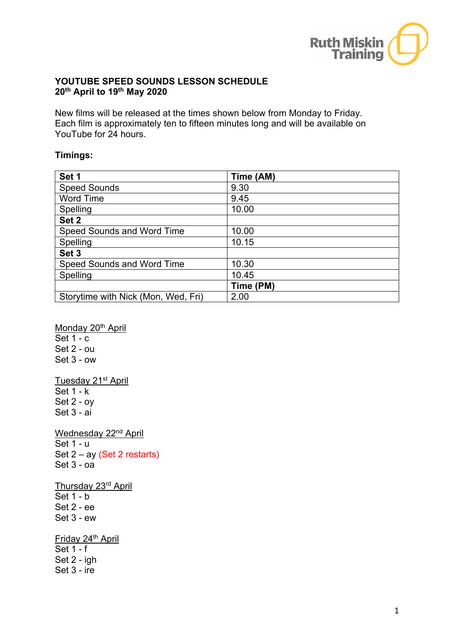

## **YOUTUBE SPEED SOUNDS LESSON SCHEDULE 20th April to 19th May 2020**

New films will be released at the times shown below from Monday to Friday. Each film is approximately ten to fifteen minutes long and will be available on YouTube for 24 hours.

## **Timings:**

| Set 1                               | Time (AM) |
|-------------------------------------|-----------|
| <b>Speed Sounds</b>                 | 9.30      |
| <b>Word Time</b>                    | 9.45      |
| Spelling                            | 10.00     |
| Set 2                               |           |
| Speed Sounds and Word Time          | 10.00     |
| Spelling                            | 10.15     |
| Set 3                               |           |
| Speed Sounds and Word Time          | 10.30     |
| Spelling                            | 10.45     |
|                                     | Time (PM) |
| Storytime with Nick (Mon, Wed, Fri) | 2.00      |

Monday 20<sup>th</sup> April Set 1 - c Set 2 - ou Set 3 - ow Tuesday 21<sup>st</sup> April Set 1 - k Set 2 - oy Set 3 - ai Wednesday 22<sup>nd</sup> April Set 1 - u Set 2 – ay (Set 2 restarts) Set  $3 - oa$ Thursday 23rd April Set 1 - b Set 2 - ee Set 3 - ew Friday 24<sup>th</sup> April Set 1 - f Set 2 - igh Set 3 - ire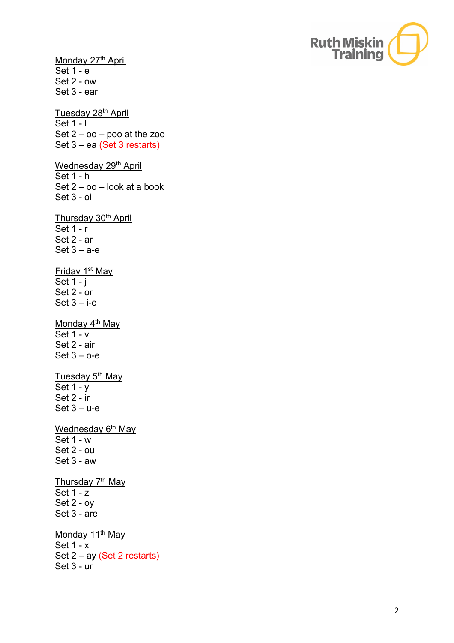

Monday 27<sup>th</sup> April Set 1 - e Set 2 - ow Set 3 - ear Tuesday 28<sup>th</sup> April Set 1 - I Set 2 – oo – poo at the zoo Set 3 – ea (Set 3 restarts) Wednesday 29<sup>th</sup> April Set 1 - h Set 2 – oo – look at a book Set 3 - oi Thursday 30<sup>th</sup> April Set 1 - r Set 2 - ar  $Set 3 - a-e$ Friday 1st May Set 1 - j Set 2 - or  $Set 3 - i$ -e Monday 4<sup>th</sup> May Set 1 - v Set 2 - air Set 3 – o-e Tuesday 5<sup>th</sup> May Set 1 - y Set 2 - ir Set 3 – u-e Wednesday 6<sup>th</sup> May Set 1 - w Set 2 - ou Set 3 - aw Thursday 7<sup>th</sup> May Set 1 - z Set 2 - oy Set 3 - are Monday 11<sup>th</sup> May Set 1 - x Set 2 – ay (Set 2 restarts)